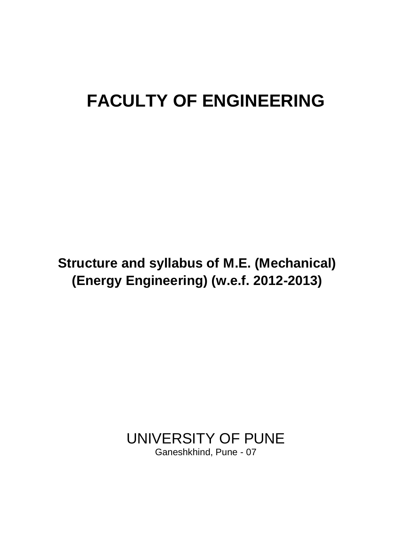# **FACULTY OF ENGINEERING**

**Proposed Crimics** (MCOHAH) **syllabus of M.E. Mechanical (Energy Structure and syllabus of M.E. (Mechanical) (Energy Engineering) (w.e.f. 2012-2013)**

> UNIVERSITY OF PUNE Ganeshkhind, Pune - 07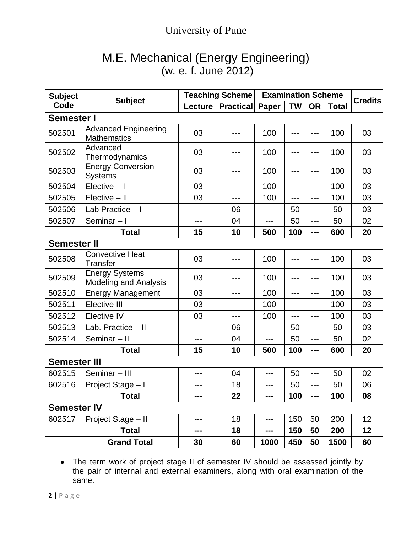# M.E. Mechanical (Energy Engineering) (w. e. f. June 2012)

| <b>Subject</b><br>Code | <b>Subject</b>                                        | <b>Teaching Scheme</b> |                  | <b>Examination Scheme</b> |           |           |              |                |
|------------------------|-------------------------------------------------------|------------------------|------------------|---------------------------|-----------|-----------|--------------|----------------|
|                        |                                                       | Lecture                | <b>Practical</b> | <b>Paper</b>              | <b>TW</b> | <b>OR</b> | <b>Total</b> | <b>Credits</b> |
| <b>Semester I</b>      |                                                       |                        |                  |                           |           |           |              |                |
| 502501                 | <b>Advanced Engineering</b><br><b>Mathematics</b>     | 03                     |                  | 100                       |           | ---       | 100          | 03             |
| 502502                 | Advanced<br>Thermodynamics                            | 03                     |                  | 100                       | ---       | ---       | 100          | 03             |
| 502503                 | <b>Energy Conversion</b><br><b>Systems</b>            | 03                     | ---              | 100                       | ---       | ---       | 100          | 03             |
| 502504                 | $Electric - I$                                        | 03                     | ---              | 100                       | ---       | ---       | 100          | 03             |
| 502505                 | Elective - II                                         | 03                     | ---              | 100                       | ---       | ---       | 100          | 03             |
| 502506                 | Lab Practice - I                                      | ---                    | 06               | ---                       | 50        | ---       | 50           | 03             |
| 502507                 | Seminar-I                                             | ---                    | 04               | ---                       | 50        | ---       | 50           | 02             |
|                        | <b>Total</b>                                          | 15                     | 10               | 500                       | 100       | ---       | 600          | 20             |
| <b>Semester II</b>     |                                                       |                        |                  |                           |           |           |              |                |
| 502508                 | <b>Convective Heat</b><br><b>Transfer</b>             | 03                     | ---              | 100                       |           | ---       | 100          | 03             |
| 502509                 | <b>Energy Systems</b><br><b>Modeling and Analysis</b> | 03                     | ---              | 100                       | ---       | ---       | 100          | 03             |
| 502510                 | <b>Energy Management</b>                              | 03                     | ---              | 100                       | ---       | $---$     | 100          | 03             |
| 502511                 | Elective III                                          | 03                     | ---              | 100                       | ---       | $---$     | 100          | 03             |
| 502512                 | Elective IV                                           | 03                     | $---$            | 100                       | $---$     | ---       | 100          | 03             |
| 502513                 | Lab. Practice - II                                    | $---$                  | 06               | ---                       | 50        | ---       | 50           | 03             |
| 502514                 | Seminar-II                                            | ---                    | 04               | ---                       | 50        | ---       | 50           | 02             |
|                        | <b>Total</b>                                          | 15                     | 10               | 500                       | 100       | ---       | 600          | 20             |
| <b>Semester III</b>    |                                                       |                        |                  |                           |           |           |              |                |
| 602515                 | Seminar - III                                         | ---                    | 04               | ---                       | 50        | ---       | 50           | 02             |
| 602516                 | Project Stage - I                                     | $---$                  | 18               | ---                       | 50        | ---       | 50           | 06             |
|                        | <b>Total</b>                                          | ---                    | 22               | ---                       | 100       | ---       | 100          | 08             |
| <b>Semester IV</b>     |                                                       |                        |                  |                           |           |           |              |                |
| 602517                 | Project Stage - II                                    | ---                    | 18               | ---                       | 150       | 50        | 200          | 12             |
|                        | <b>Total</b>                                          | ---                    | 18               | ---                       | 150       | 50        | 200          | 12             |
|                        | <b>Grand Total</b>                                    | 30                     | 60               | 1000                      | 450       | 50        | 1500         | 60             |

The term work of project stage II of semester IV should be assessed jointly by the pair of internal and external examiners, along with oral examination of the same.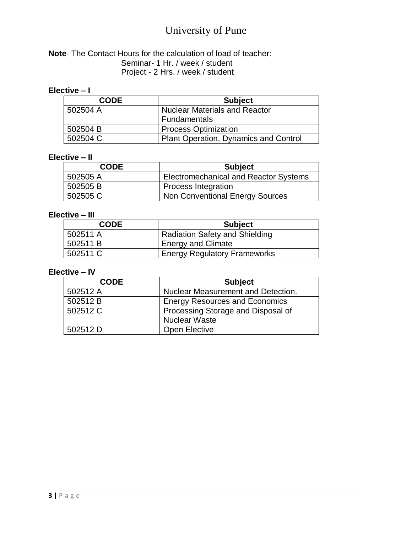#### **Note**- The Contact Hours for the calculation of load of teacher: Seminar- 1 Hr. / week / student Project - 2 Hrs. / week / student

#### **Elective – I**

| <b>CODE</b> | <b>Subject</b>                        |
|-------------|---------------------------------------|
| 502504 A    | Nuclear Materials and Reactor         |
|             | <b>Fundamentals</b>                   |
| 502504 B    | <b>Process Optimization</b>           |
| 502504 C    | Plant Operation, Dynamics and Control |

#### **Elective – II**

| <b>CODE</b> | <b>Subject</b>                               |
|-------------|----------------------------------------------|
| 502505 A    | <b>Electromechanical and Reactor Systems</b> |
| 502505B     | <b>Process Integration</b>                   |
| 502505 C    | Non Conventional Energy Sources              |

#### **Elective – III**

| <b>CODE</b> | <b>Subject</b>                      |
|-------------|-------------------------------------|
| 502511 A    | Radiation Safety and Shielding      |
| 502511 B    | <b>Energy and Climate</b>           |
| 502511 C    | <b>Energy Regulatory Frameworks</b> |

#### **Elective – IV**

| <b>CODE</b> | <b>Subject</b>                        |
|-------------|---------------------------------------|
| 502512 A    | Nuclear Measurement and Detection.    |
| 502512 B    | <b>Energy Resources and Economics</b> |
| 502512 C    | Processing Storage and Disposal of    |
|             | <b>Nuclear Waste</b>                  |
| 502512 D    | <b>Open Elective</b>                  |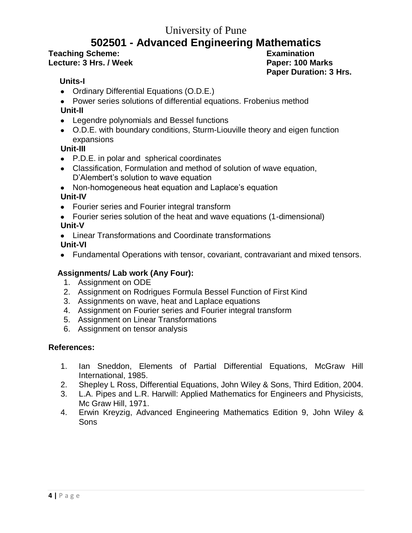# **502501 - Advanced Engineering Mathematics**

#### **Teaching Scheme: Examination Lecture: 3 Hrs. / Week Paper: 100 Marks**

**Paper Duration: 3 Hrs.**

#### **Units-I**

- Ordinary Differential Equations (O.D.E.)
- Power series solutions of differential equations. Frobenius method

#### **Unit-II**

- Legendre polynomials and Bessel functions
- O.D.E. with boundary conditions, Sturm-Liouville theory and eigen function expansions

#### **Unit-III**

- P.D.E. in polar and spherical coordinates
- Classification, Formulation and method of solution of wave equation, D'Alembert's solution to wave equation
- Non-homogeneous heat equation and Laplace's equation

#### **Unit-IV**

- Fourier series and Fourier integral transform
- Fourier series solution of the heat and wave equations (1-dimensional) **Unit-V**
- Linear Transformations and Coordinate transformations **Unit-VI**
- Fundamental Operations with tensor, covariant, contravariant and mixed tensors.

#### **Assignments/ Lab work (Any Four):**

- 1. Assignment on ODE
- 2. Assignment on Rodrigues Formula Bessel Function of First Kind
- 3. Assignments on wave, heat and Laplace equations
- 4. Assignment on Fourier series and Fourier integral transform
- 5. Assignment on Linear Transformations
- 6. Assignment on tensor analysis

- 1. Ian Sneddon, Elements of Partial Differential Equations, McGraw Hill International, 1985.
- 2. Shepley L Ross, Differential Equations, John Wiley & Sons, Third Edition, 2004.
- 3. L.A. Pipes and L.R. Harwill: Applied Mathematics for Engineers and Physicists, Mc Graw Hill, 1971.
- 4. Erwin Kreyzig, Advanced Engineering Mathematics Edition 9, John Wiley & Sons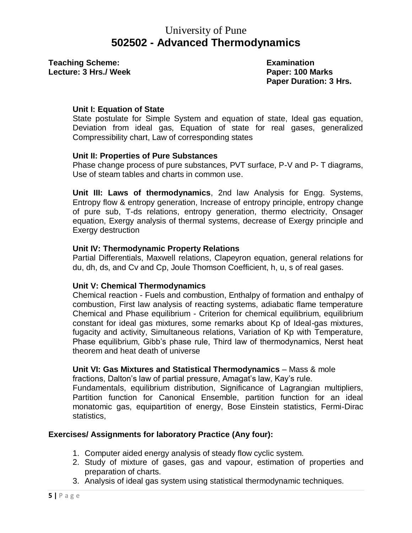# University of Pune **502502 - Advanced Thermodynamics**

**Teaching Scheme:** The Contract Examination **Lecture: 3 Hrs./ Week Paper: 100 Marks**

**Paper Duration: 3 Hrs.**

#### **Unit I: Equation of State**

State postulate for Simple System and equation of state, Ideal gas equation, Deviation from ideal gas, Equation of state for real gases, generalized Compressibility chart, Law of corresponding states

#### **Unit II: Properties of Pure Substances**

Phase change process of pure substances, PVT surface, P-V and P- T diagrams, Use of steam tables and charts in common use.

**Unit III: Laws of thermodynamics**, 2nd law Analysis for Engg. Systems, Entropy flow & entropy generation, Increase of entropy principle, entropy change of pure sub, T-ds relations, entropy generation, thermo electricity, Onsager equation, Exergy analysis of thermal systems, decrease of Exergy principle and Exergy destruction

#### **Unit IV: Thermodynamic Property Relations**

Partial Differentials, Maxwell relations, Clapeyron equation, general relations for du, dh, ds, and Cv and Cp, Joule Thomson Coefficient, h, u, s of real gases.

#### **Unit V: Chemical Thermodynamics**

Chemical reaction - Fuels and combustion, Enthalpy of formation and enthalpy of combustion, First law analysis of reacting systems, adiabatic flame temperature Chemical and Phase equilibrium - Criterion for chemical equilibrium, equilibrium constant for ideal gas mixtures, some remarks about Kp of Ideal-gas mixtures, fugacity and activity, Simultaneous relations, Variation of Kp with Temperature, Phase equilibrium, Gibb"s phase rule, Third law of thermodynamics, Nerst heat theorem and heat death of universe

#### **Unit VI: Gas Mixtures and Statistical Thermodynamics** – Mass & mole

fractions, Dalton's law of partial pressure, Amagat's law, Kay's rule.

Fundamentals, equilibrium distribution, Significance of Lagrangian multipliers, Partition function for Canonical Ensemble, partition function for an ideal monatomic gas, equipartition of energy, Bose Einstein statistics, Fermi-Dirac statistics,

#### **Exercises/ Assignments for laboratory Practice (Any four):**

- 1. Computer aided energy analysis of steady flow cyclic system.
- 2. Study of mixture of gases, gas and vapour, estimation of properties and preparation of charts.
- 3. Analysis of ideal gas system using statistical thermodynamic techniques.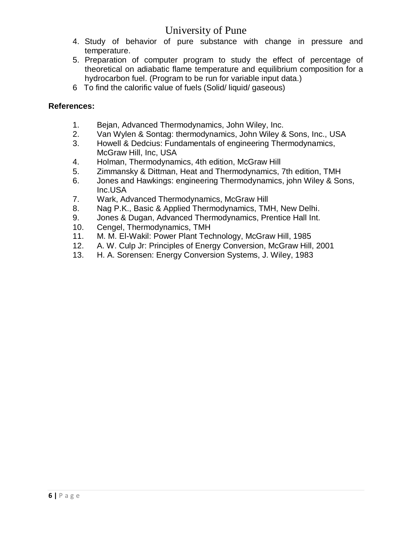- 4. Study of behavior of pure substance with change in pressure and temperature.
- 5. Preparation of computer program to study the effect of percentage of theoretical on adiabatic flame temperature and equilibrium composition for a hydrocarbon fuel. (Program to be run for variable input data.)
- 6 To find the calorific value of fuels (Solid/ liquid/ gaseous)

- 1. Bejan, Advanced Thermodynamics, John Wiley, Inc.
- 2. Van Wylen & Sontag: thermodynamics, John Wiley & Sons, Inc., USA
- 3. Howell & Dedcius: Fundamentals of engineering Thermodynamics, McGraw Hill, Inc, USA
- 4. Holman, Thermodynamics, 4th edition, McGraw Hill
- 5. Zimmansky & Dittman, Heat and Thermodynamics, 7th edition, TMH
- 6. Jones and Hawkings: engineering Thermodynamics, john Wiley & Sons, Inc.USA
- 7. Wark, Advanced Thermodynamics, McGraw Hill
- 8. Nag P.K., Basic & Applied Thermodynamics, TMH, New Delhi.
- 9. Jones & Dugan, Advanced Thermodynamics, Prentice Hall Int.
- 10. Cengel, Thermodynamics, TMH
- 11. M. M. El-Wakil: Power Plant Technology, McGraw Hill, 1985
- 12. A. W. Culp Jr: Principles of Energy Conversion, McGraw Hill, 2001
- 13. H. A. Sorensen: Energy Conversion Systems, J. Wiley, 1983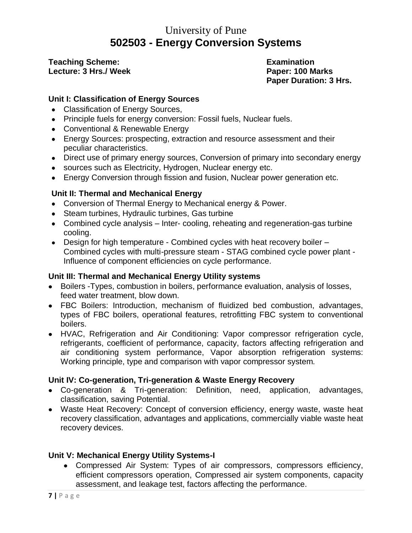# University of Pune **502503 - Energy Conversion Systems**

**Teaching Scheme: Examination Lecture: 3 Hrs./ Week Paper: 100 Marks**

**Paper Duration: 3 Hrs.**

#### **Unit I: Classification of Energy Sources**

- Classification of Energy Sources,
- Principle fuels for energy conversion: Fossil fuels, Nuclear fuels.
- Conventional & Renewable Energy
- Energy Sources: prospecting, extraction and resource assessment and their peculiar characteristics.
- Direct use of primary energy sources, Conversion of primary into secondary energy
- sources such as Electricity, Hydrogen, Nuclear energy etc.
- Energy Conversion through fission and fusion, Nuclear power generation etc.

#### **Unit II: Thermal and Mechanical Energy**

- Conversion of Thermal Energy to Mechanical energy & Power.
- Steam turbines, Hydraulic turbines, Gas turbine
- Combined cycle analysis Inter- cooling, reheating and regeneration-gas turbine cooling.
- Design for high temperature Combined cycles with heat recovery boiler Combined cycles with multi-pressure steam - STAG combined cycle power plant - Influence of component efficiencies on cycle performance.

#### **Unit III: Thermal and Mechanical Energy Utility systems**

- Boilers -Types, combustion in boilers, performance evaluation, analysis of losses, feed water treatment, blow down.
- FBC Boilers: Introduction, mechanism of fluidized bed combustion, advantages, types of FBC boilers, operational features, retrofitting FBC system to conventional boilers.
- HVAC, Refrigeration and Air Conditioning: Vapor compressor refrigeration cycle, refrigerants, coefficient of performance, capacity, factors affecting refrigeration and air conditioning system performance, Vapor absorption refrigeration systems: Working principle, type and comparison with vapor compressor system.

#### **Unit IV: Co-generation, Tri-generation & Waste Energy Recovery**

- Co-generation & Tri-generation: Definition, need, application, advantages, classification, saving Potential.
- Waste Heat Recovery: Concept of conversion efficiency, energy waste, waste heat recovery classification, advantages and applications, commercially viable waste heat recovery devices.

#### **Unit V: Mechanical Energy Utility Systems-I**

Compressed Air System: Types of air compressors, compressors efficiency, efficient compressors operation, Compressed air system components, capacity assessment, and leakage test, factors affecting the performance.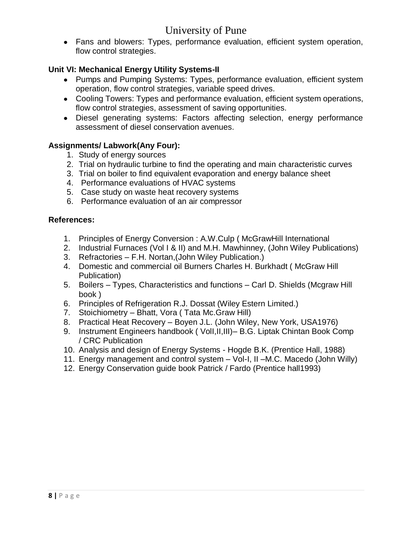Fans and blowers: Types, performance evaluation, efficient system operation, flow control strategies.

#### **Unit VI: Mechanical Energy Utility Systems-II**

- Pumps and Pumping Systems: Types, performance evaluation, efficient system operation, flow control strategies, variable speed drives.
- Cooling Towers: Types and performance evaluation, efficient system operations, flow control strategies, assessment of saving opportunities.
- Diesel generating systems: Factors affecting selection, energy performance assessment of diesel conservation avenues.

#### **Assignments/ Labwork(Any Four):**

- 1. Study of energy sources
- 2. Trial on hydraulic turbine to find the operating and main characteristic curves
- 3. Trial on boiler to find equivalent evaporation and energy balance sheet
- 4. Performance evaluations of HVAC systems
- 5. Case study on waste heat recovery systems
- 6. Performance evaluation of an air compressor

- 1. Principles of Energy Conversion : A.W.Culp ( McGrawHill International
- 2. Industrial Furnaces (Vol I & II) and M.H. Mawhinney, (John Wiley Publications)
- 3. Refractories F.H. Nortan,(John Wiley Publication.)
- 4. Domestic and commercial oil Burners Charles H. Burkhadt ( McGraw Hill Publication)
- 5. Boilers Types, Characteristics and functions Carl D. Shields (Mcgraw Hill book )
- 6. Principles of Refrigeration R.J. Dossat (Wiley Estern Limited.)
- 7. Stoichiometry Bhatt, Vora ( Tata Mc.Graw Hill)
- 8. Practical Heat Recovery Boyen J.L. (John Wiley, New York, USA1976)
- 9. Instrument Engineers handbook ( VolI,II,III)– B.G. Liptak Chintan Book Comp / CRC Publication
- 10. Analysis and design of Energy Systems Hogde B.K. (Prentice Hall, 1988)
- 11. Energy management and control system Vol-I, II –M.C. Macedo (John Willy)
- 12. Energy Conservation guide book Patrick / Fardo (Prentice hall1993)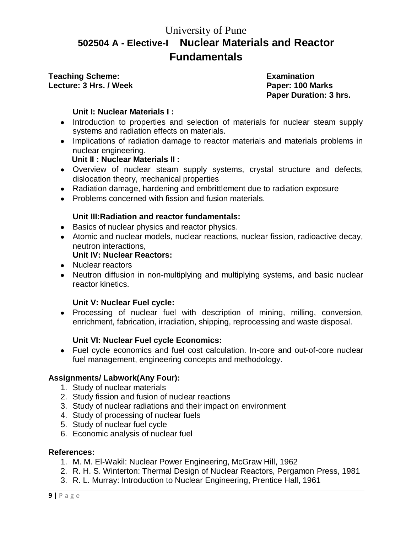# University of Pune **502504 A - Elective-I Nuclear Materials and Reactor Fundamentals**

#### **Teaching Scheme: Examination Lecture: 3 Hrs. / Week Paper: 100 Marks**

**Paper Duration: 3 hrs.**

#### **Unit I: Nuclear Materials I :**

- Introduction to properties and selection of materials for nuclear steam supply systems and radiation effects on materials.
- Implications of radiation damage to reactor materials and materials problems in nuclear engineering.

#### **Unit II : Nuclear Materials II :**

- Overview of nuclear steam supply systems, crystal structure and defects, dislocation theory, mechanical properties
- Radiation damage, hardening and embrittlement due to radiation exposure
- Problems concerned with fission and fusion materials.

#### **Unit III:Radiation and reactor fundamentals:**

- Basics of nuclear physics and reactor physics.
- Atomic and nuclear models, nuclear reactions, nuclear fission, radioactive decay, neutron interactions,

#### **Unit IV: Nuclear Reactors:**

- Nuclear reactors
- Neutron diffusion in non-multiplying and multiplying systems, and basic nuclear reactor kinetics.

#### **Unit V: Nuclear Fuel cycle:**

• Processing of nuclear fuel with description of mining, milling, conversion, enrichment, fabrication, irradiation, shipping, reprocessing and waste disposal.

#### **Unit VI: Nuclear Fuel cycle Economics:**

Fuel cycle economics and fuel cost calculation. In-core and out-of-core nuclear fuel management, engineering concepts and methodology.

#### **Assignments/ Labwork(Any Four):**

- 1. Study of nuclear materials
- 2. Study fission and fusion of nuclear reactions
- 3. Study of nuclear radiations and their impact on environment
- 4. Study of processing of nuclear fuels
- 5. Study of nuclear fuel cycle
- 6. Economic analysis of nuclear fuel

- 1. M. M. El-Wakil: Nuclear Power Engineering, McGraw Hill, 1962
- 2. R. H. S. Winterton: Thermal Design of Nuclear Reactors, Pergamon Press, 1981
- 3. R. L. Murray: Introduction to Nuclear Engineering, Prentice Hall, 1961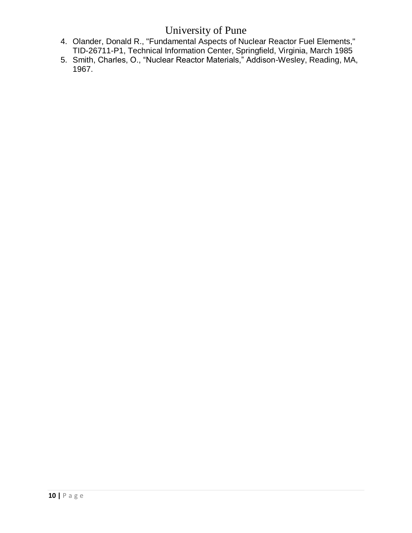- 4. Olander, Donald R., "Fundamental Aspects of Nuclear Reactor Fuel Elements," TID-26711-P1, Technical Information Center, Springfield, Virginia, March 1985
- 5. Smith, Charles, O., "Nuclear Reactor Materials," Addison-Wesley, Reading, MA, 1967.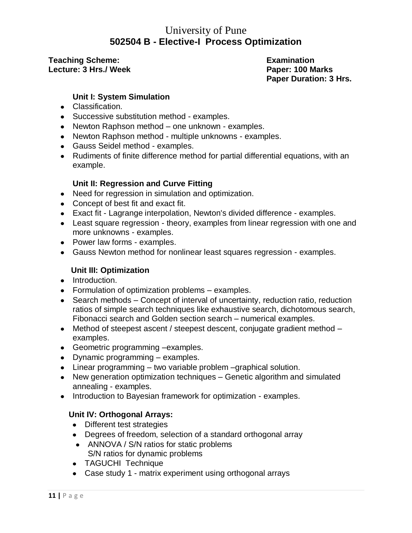### University of Pune **502504 B - Elective-I Process Optimization**

#### **Teaching Scheme: Examination Lecture: 3 Hrs./ Week Paper: 100 Marks**

**Paper Duration: 3 Hrs.**

#### **Unit I: System Simulation**

- Classification.
- Successive substitution method examples.
- Newton Raphson method one unknown examples.
- Newton Raphson method multiple unknowns examples.
- Gauss Seidel method examples.
- Rudiments of finite difference method for partial differential equations, with an example.

#### **Unit II: Regression and Curve Fitting**

- Need for regression in simulation and optimization.
- Concept of best fit and exact fit.
- Exact fit Lagrange interpolation, Newton's divided difference examples.
- Least square regression theory, examples from linear regression with one and more unknowns - examples.
- Power law forms examples.
- Gauss Newton method for nonlinear least squares regression examples.

#### **Unit III: Optimization**

- Introduction.
- Formulation of optimization problems examples.
- Search methods Concept of interval of uncertainty, reduction ratio, reduction ratios of simple search techniques like exhaustive search, dichotomous search, Fibonacci search and Golden section search – numerical examples.
- Method of steepest ascent / steepest descent, conjugate gradient method examples.
- Geometric programming –examples.
- Dynamic programming examples.
- Linear programming two variable problem –graphical solution.
- New generation optimization techniques Genetic algorithm and simulated annealing - examples.
- Introduction to Bayesian framework for optimization examples.

#### **Unit IV: Orthogonal Arrays:**

- Different test strategies
- Degrees of freedom, selection of a standard orthogonal array
- ANNOVA / S/N ratios for static problems S/N ratios for dynamic problems
- TAGUCHI Technique
- Case study 1 matrix experiment using orthogonal arrays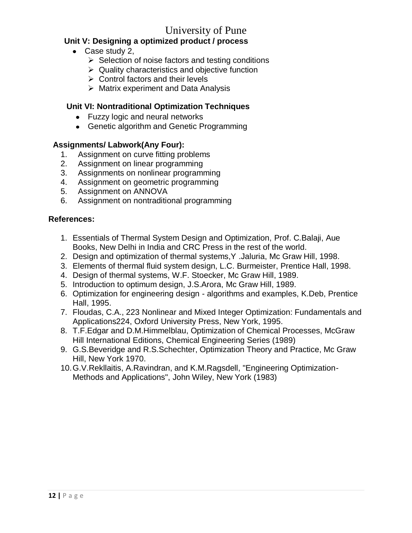#### **Unit V: Designing a optimized product / process**

- Case study 2,
	- $\triangleright$  Selection of noise factors and testing conditions
	- $\triangleright$  Quality characteristics and objective function
	- $\triangleright$  Control factors and their levels
	- $\triangleright$  Matrix experiment and Data Analysis

#### **Unit VI: Nontraditional Optimization Techniques**

- Fuzzy logic and neural networks
- Genetic algorithm and Genetic Programming

#### **Assignments/ Labwork(Any Four):**

- 1. Assignment on curve fitting problems
- 2. Assignment on linear programming
- 3. Assignments on nonlinear programming
- 4. Assignment on geometric programming
- 5. Assignment on ANNOVA
- 6. Assignment on nontraditional programming

- 1. Essentials of Thermal System Design and Optimization, Prof. C.Balaji, Aue Books, New Delhi in India and CRC Press in the rest of the world.
- 2. Design and optimization of thermal systems,Y .Jaluria, Mc Graw Hill, 1998.
- 3. Elements of thermal fluid system design, L.C. Burmeister, Prentice Hall, 1998.
- 4. Design of thermal systems, W.F. Stoecker, Mc Graw Hill, 1989.
- 5. Introduction to optimum design, J.S.Arora, Mc Graw Hill, 1989.
- 6. Optimization for engineering design algorithms and examples, K.Deb, Prentice Hall, 1995.
- 7. Floudas, C.A., 223 Nonlinear and Mixed Integer Optimization: Fundamentals and Applications224, Oxford University Press, New York, 1995.
- 8. T.F.Edgar and D.M.Himmelblau, Optimization of Chemical Processes, McGraw Hill International Editions, Chemical Engineering Series (1989)
- 9. G.S.Beveridge and R.S.Schechter, Optimization Theory and Practice, Mc Graw Hill, New York 1970.
- 10.G.V.Rekllaitis, A.Ravindran, and K.M.Ragsdell, "Engineering Optimization-Methods and Applications", John Wiley, New York (1983)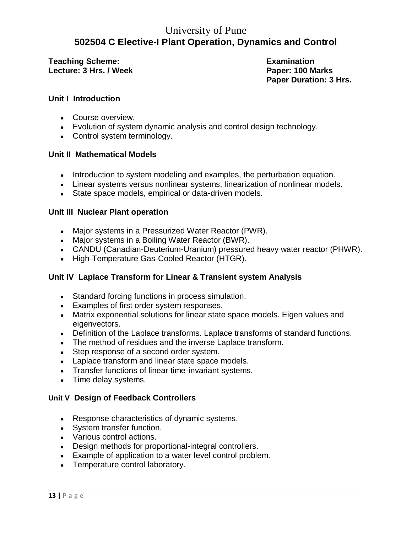# University of Pune **502504 C Elective-I Plant Operation, Dynamics and Control**

**Teaching Scheme: Examination Lecture: 3 Hrs. / Week Paper: 100 Marks**

**Paper Duration: 3 Hrs.**

#### **Unit I Introduction**

- Course overview.
- Evolution of system dynamic analysis and control design technology.
- Control system terminology.

#### **Unit II Mathematical Models**

- Introduction to system modeling and examples, the perturbation equation.
- Linear systems versus nonlinear systems, linearization of nonlinear models.
- State space models, empirical or data-driven models.

#### **Unit III Nuclear Plant operation**

- Major systems in a Pressurized Water Reactor (PWR).
- Major systems in a Boiling Water Reactor (BWR).
- CANDU (Canadian-Deuterium-Uranium) pressured heavy water reactor (PHWR).
- High-Temperature Gas-Cooled Reactor (HTGR).

#### **Unit IV Laplace Transform for Linear & Transient system Analysis**

- Standard forcing functions in process simulation.
- Examples of first order system responses.
- Matrix exponential solutions for linear state space models. Eigen values and eigenvectors.
- Definition of the Laplace transforms. Laplace transforms of standard functions.
- The method of residues and the inverse Laplace transform.
- Step response of a second order system.
- Laplace transform and linear state space models.
- Transfer functions of linear time-invariant systems.
- Time delay systems.

#### **Unit V Design of Feedback Controllers**

- Response characteristics of dynamic systems.
- System transfer function.
- Various control actions.
- Design methods for proportional-integral controllers.
- Example of application to a water level control problem.
- Temperature control laboratory.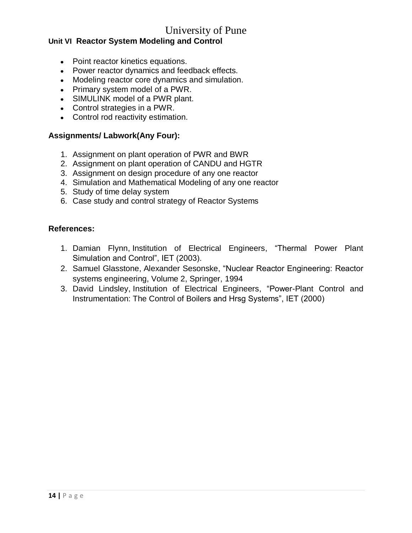#### **Unit VI Reactor System Modeling and Control**

- Point reactor kinetics equations.
- Power reactor dynamics and feedback effects.
- Modeling reactor core dynamics and simulation.
- Primary system model of a PWR.
- SIMULINK model of a PWR plant.
- Control strategies in a PWR.
- Control rod reactivity estimation.

#### **Assignments/ Labwork(Any Four):**

- 1. Assignment on plant operation of PWR and BWR
- 2. Assignment on plant operation of CANDU and HGTR
- 3. Assignment on design procedure of any one reactor
- 4. Simulation and Mathematical Modeling of any one reactor
- 5. Study of time delay system
- 6. Case study and control strategy of Reactor Systems

- 1. [Damian Flynn,](http://www.google.co.in/search?tbo=p&tbm=bks&q=inauthor:%22Damian+Flynn%22) [Institution of Electrical Engineers,](http://www.google.co.in/search?tbo=p&tbm=bks&q=inauthor:%22Institution+of+Electrical+Engineers%22) "Thermal Power Plant Simulation and Control", IET (2003).
- 2. [Samuel Glasstone,](http://www.google.co.in/search?tbo=p&tbm=bks&q=inauthor:%22Samuel+Glasstone%22) [Alexander Sesonske,](http://www.google.co.in/search?tbo=p&tbm=bks&q=inauthor:%22Alexander+Sesonske%22) "Nuclear Reactor Engineering: Reactor systems engineering, Volume 2, Springer, 1994
- 3. [David Lindsley,](http://www.google.co.in/search?tbo=p&tbm=bks&q=inauthor:%22David+Lindsley%22) [Institution of Electrical Engineers,](http://www.google.co.in/search?tbo=p&tbm=bks&q=inauthor:%22Institution+of+Electrical+Engineers%22) "Power-Plant Control and Instrumentation: The Control of Boilers and Hrsg Systems", IET (2000)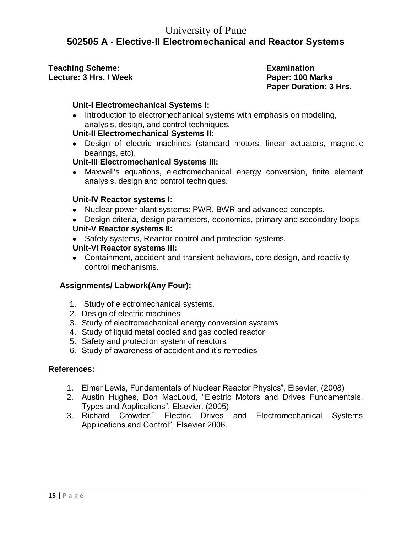### University of Pune **502505 A - Elective-II Electromechanical and Reactor Systems**

**Teaching Scheme: Examination** Lecture: 3 Hrs. / Week **Paper: 100 Marks** 

**Paper Duration: 3 Hrs.**

#### **Unit-I Electromechanical Systems I:**

• Introduction to electromechanical systems with emphasis on modeling, analysis, design, and control techniques.

#### **Unit-II Electromechanical Systems II:**

Design of electric machines (standard motors, linear actuators, magnetic bearings, etc).

#### **Unit-III Electromechanical Systems III:**

Maxwell's equations, electromechanical energy conversion, finite element analysis, design and control techniques.

#### **Unit-IV Reactor systems I:**

- Nuclear power plant systems: PWR, BWR and advanced concepts.
- Design criteria, design parameters, economics, primary and secondary loops.

#### **Unit-V Reactor systems II:**

• Safety systems, Reactor control and protection systems.

#### **Unit-VI Reactor systems III:**

Containment, accident and transient behaviors, core design, and reactivity control mechanisms.

#### **Assignments/ Labwork(Any Four):**

- 1. Study of electromechanical systems.
- 2. Design of electric machines
- 3. Study of electromechanical energy conversion systems
- 4. Study of liquid metal cooled and gas cooled reactor
- 5. Safety and protection system of reactors
- 6. Study of awareness of accident and it"s remedies

- 1. Elmer Lewis, Fundamentals of Nuclear Reactor Physics", Elsevier, (2008)
- 2. Austin Hughes, Don MacLoud, "Electric Motors and Drives Fundamentals, Types and Applications", Elsevier, (2005)
- 3. Richard Crowder," Electric Drives and Electromechanical Systems Applications and Control", Elsevier 2006.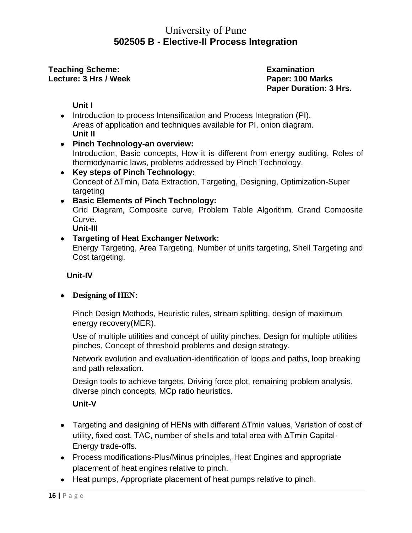### University of Pune **502505 B - Elective-II Process Integration**

**Teaching Scheme:** The Examination **Lecture: 3 Hrs / Week Paper: 100 Marks**

**Paper Duration: 3 Hrs.**

**Unit I**

- Introduction to process Intensification and Process Integration (PI). Areas of application and techniques available for PI, onion diagram. **Unit II**
- **Pinch Technology-an overview:** Introduction, Basic concepts, How it is different from energy auditing, Roles of thermodynamic laws, problems addressed by Pinch Technology.
- **Key steps of Pinch Technology:** Concept of ΔTmin, Data Extraction, Targeting, Designing, Optimization-Super targeting
- **Basic Elements of Pinch Technology:** Grid Diagram, Composite curve, Problem Table Algorithm, Grand Composite Curve.

**Unit-III**

#### **Targeting of Heat Exchanger Network:**

Energy Targeting, Area Targeting, Number of units targeting, Shell Targeting and Cost targeting.

 **Unit-IV** 

**Designing of HEN:**

Pinch Design Methods, Heuristic rules, stream splitting, design of maximum energy recovery(MER).

Use of multiple utilities and concept of utility pinches, Design for multiple utilities pinches, Concept of threshold problems and design strategy.

Network evolution and evaluation-identification of loops and paths, loop breaking and path relaxation.

Design tools to achieve targets, Driving force plot, remaining problem analysis, diverse pinch concepts, MCp ratio heuristics.

#### **Unit-V**

- Targeting and designing of HENs with different ΔTmin values, Variation of cost of utility, fixed cost, TAC, number of shells and total area with ΔTmin Capital-Energy trade-offs.
- Process modifications-Plus/Minus principles, Heat Engines and appropriate placement of heat engines relative to pinch.
- Heat pumps, Appropriate placement of heat pumps relative to pinch.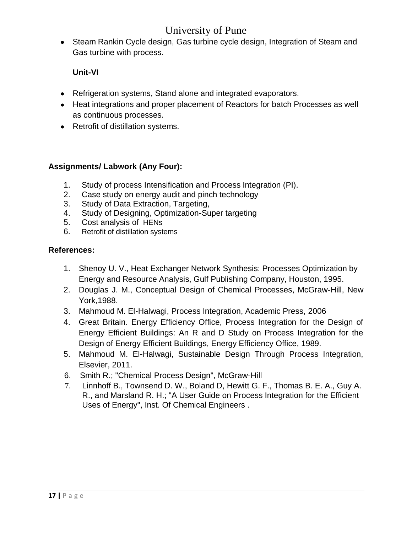• Steam Rankin Cycle design, Gas turbine cycle design, Integration of Steam and Gas turbine with process.

#### **Unit-VI**

- Refrigeration systems, Stand alone and integrated evaporators.
- Heat integrations and proper placement of Reactors for batch Processes as well as continuous processes.
- Retrofit of distillation systems.

#### **Assignments/ Labwork (Any Four):**

- 1. Study of process Intensification and Process Integration (PI).
- 2. Case study on energy audit and pinch technology
- 3. Study of Data Extraction, Targeting,
- 4. Study of Designing, Optimization-Super targeting
- 5. Cost analysis of HENs
- 6. Retrofit of distillation systems

- 1. Shenoy U. V., Heat Exchanger Network Synthesis: Processes Optimization by Energy and Resource Analysis, Gulf Publishing Company, Houston, 1995.
- 2. Douglas J. M., Conceptual Design of Chemical Processes, McGraw-Hill, New York,1988.
- 3. [Mahmoud M. El-Halwagi,](http://www.google.co.in/search?tbo=p&tbm=bks&q=inauthor:%22Mahmoud+M.+El-Halwagi%22) Process Integration, Academic Press, 2006
- 4. Great Britain. Energy Efficiency Office, Process Integration for the Design of Energy Efficient Buildings: An R and D Study on Process Integration for the Design of Energy Efficient Buildings, Energy Efficiency Office, 1989.
- 5. [Mahmoud M. El-Halwagi,](http://www.google.co.in/search?tbo=p&tbm=bks&q=inauthor:%22Mahmoud+M.+El-Halwagi%22) Sustainable Design Through Process Integration, Elsevier, 2011.
- 6. Smith R.; "Chemical Process Design", McGraw-Hill
- 7. Linnhoff B., Townsend D. W., Boland D, Hewitt G. F., Thomas B. E. A., Guy A. R., and Marsland R. H.; "A User Guide on Process Integration for the Efficient Uses of Energy", Inst. Of Chemical Engineers .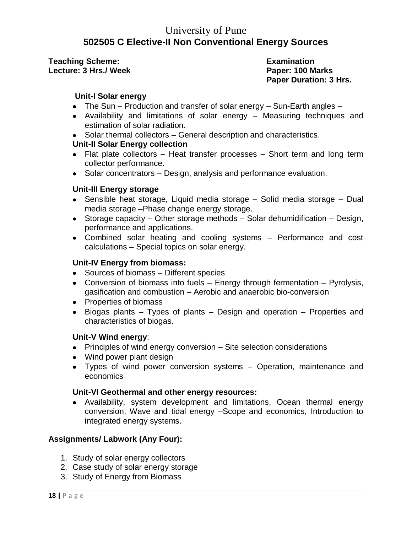# University of Pune **502505 C Elective-II Non Conventional Energy Sources**

**Teaching Scheme: Examination Lecture: 3 Hrs./ Week Paper: 100 Marks**

**Paper Duration: 3 Hrs.**

#### **Unit-I Solar energy**

- The Sun Production and transfer of solar energy Sun-Earth angles –
- Availability and limitations of solar energy Measuring techniques and estimation of solar radiation.
- Solar thermal collectors General description and characteristics.

#### **Unit-II Solar Energy collection**

- Flat plate collectors Heat transfer processes Short term and long term collector performance.
- Solar concentrators Design, analysis and performance evaluation.

#### **Unit-III Energy storage**

- Sensible heat storage, Liquid media storage Solid media storage Dual media storage –Phase change energy storage.
- Storage capacity Other storage methods Solar dehumidification Design, performance and applications.
- Combined solar heating and cooling systems Performance and cost calculations – Special topics on solar energy.

#### **Unit-IV Energy from biomass:**

- Sources of biomass Different species
- Conversion of biomass into fuels Energy through fermentation Pyrolysis, gasification and combustion – Aerobic and anaerobic bio-conversion
- Properties of biomass
- $\bullet$  Biogas plants Types of plants Design and operation Properties and characteristics of biogas.

#### **Unit-V Wind energy**:

- $\bullet$  Principles of wind energy conversion  $-$  Site selection considerations
- Wind power plant design
- Types of wind power conversion systems Operation, maintenance and economics

#### **Unit-VI Geothermal and other energy resources:**

Availability, system development and limitations, Ocean thermal energy conversion, Wave and tidal energy –Scope and economics, Introduction to integrated energy systems.

#### **Assignments/ Labwork (Any Four):**

- 1. Study of solar energy collectors
- 2. Case study of solar energy storage
- 3. Study of Energy from Biomass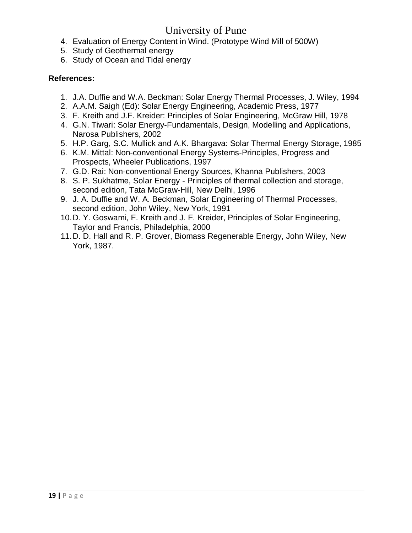- 4. Evaluation of Energy Content in Wind. (Prototype Wind Mill of 500W)
- 5. Study of Geothermal energy
- 6. Study of Ocean and Tidal energy

- 1. J.A. Duffie and W.A. Beckman: Solar Energy Thermal Processes, J. Wiley, 1994
- 2. A.A.M. Saigh (Ed): Solar Energy Engineering, Academic Press, 1977
- 3. F. Kreith and J.F. Kreider: Principles of Solar Engineering, McGraw Hill, 1978
- 4. G.N. Tiwari: Solar Energy-Fundamentals, Design, Modelling and Applications, Narosa Publishers, 2002
- 5. H.P. Garg, S.C. Mullick and A.K. Bhargava: Solar Thermal Energy Storage, 1985
- 6. K.M. Mittal: Non-conventional Energy Systems-Principles, Progress and Prospects, Wheeler Publications, 1997
- 7. G.D. Rai: Non-conventional Energy Sources, Khanna Publishers, 2003
- 8. S. P. Sukhatme, Solar Energy Principles of thermal collection and storage, second edition, Tata McGraw-Hill, New Delhi, 1996
- 9. J. A. Duffie and W. A. Beckman, Solar Engineering of Thermal Processes, second edition, John Wiley, New York, 1991
- 10.D. Y. Goswami, F. Kreith and J. F. Kreider, Principles of Solar Engineering, Taylor and Francis, Philadelphia, 2000
- 11.D. D. Hall and R. P. Grover, Biomass Regenerable Energy, John Wiley, New York, 1987.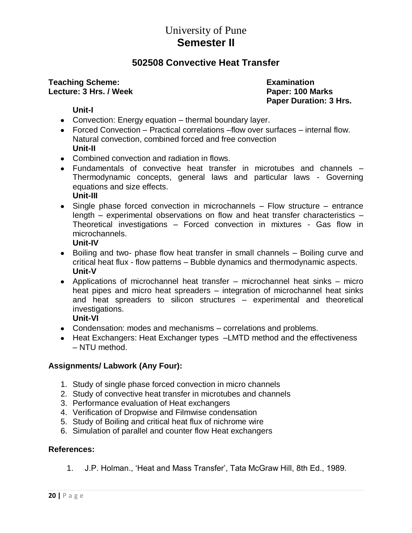# University of Pune **Semester II**

### **502508 Convective Heat Transfer**

#### **Teaching Scheme: Examination Lecture: 3 Hrs. / Week Paper: 100 Marks**

**Paper Duration: 3 Hrs.**

#### **Unit-I**

- Convection: Energy equation thermal boundary layer.
- Forced Convection Practical correlations –flow over surfaces internal flow. Natural convection, combined forced and free convection **Unit-II**
- Combined convection and radiation in flows.
- Fundamentals of convective heat transfer in microtubes and channels Thermodynamic concepts, general laws and particular laws - Governing equations and size effects. **Unit-III**
- Single phase forced convection in microchannels Flow structure entrance length – experimental observations on flow and heat transfer characteristics – Theoretical investigations – Forced convection in mixtures - Gas flow in microchannels.

#### **Unit-IV**

- Boiling and two- phase flow heat transfer in small channels Boiling curve and critical heat flux - flow patterns – Bubble dynamics and thermodynamic aspects. **Unit-V**
- Applications of microchannel heat transfer microchannel heat sinks micro heat pipes and micro heat spreaders – integration of microchannel heat sinks and heat spreaders to silicon structures – experimental and theoretical investigations.

#### **Unit-VI**

- Condensation: modes and mechanisms correlations and problems.
- Heat Exchangers: Heat Exchanger types -LMTD method and the effectiveness – NTU method.

#### **Assignments/ Labwork (Any Four):**

- 1. Study of single phase forced convection in micro channels
- 2. Study of convective heat transfer in microtubes and channels
- 3. Performance evaluation of Heat exchangers
- 4. Verification of Dropwise and Filmwise condensation
- 5. Study of Boiling and critical heat flux of nichrome wire
- 6. Simulation of parallel and counter flow Heat exchangers

#### **References:**

1. J.P. Holman., "Heat and Mass Transfer", Tata McGraw Hill, 8th Ed., 1989.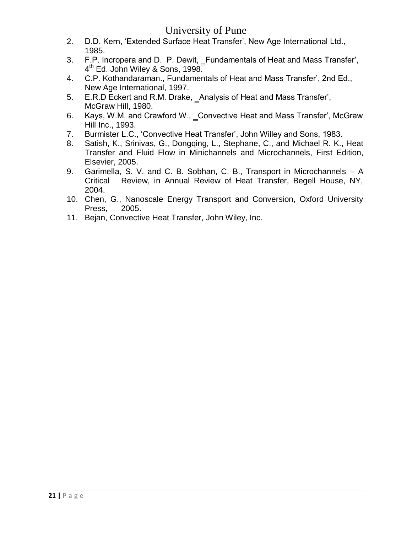- 2. D.D. Kern, "Extended Surface Heat Transfer", New Age International Ltd., 1985.
- 3. F.P. Incropera and D. P. Dewit, \_Fundamentals of Heat and Mass Transfer', 4<sup>th</sup> Ed. John Wiley & Sons, 1998.
- 4. C.P. Kothandaraman., Fundamentals of Heat and Mass Transfer", 2nd Ed., New Age International, 1997.
- 5. E.R.D Eckert and R.M. Drake, Analysis of Heat and Mass Transfer', McGraw Hill, 1980.
- 6. Kays, W.M. and Crawford W., \_Convective Heat and Mass Transfer', McGraw Hill Inc., 1993.
- 7. Burmister L.C., "Convective Heat Transfer", John Willey and Sons, 1983.
- 8. Satish, K., Srinivas, G., Dongqing, L., Stephane, C., and Michael R. K., Heat Transfer and Fluid Flow in Minichannels and Microchannels, First Edition, Elsevier, 2005.
- 9. Garimella, S. V. and C. B. Sobhan, C. B., Transport in Microchannels A Critical Review, in Annual Review of Heat Transfer, Begell House, NY, 2004.
- 10. Chen, G., Nanoscale Energy Transport and Conversion, Oxford University Press, 2005.
- 11. Bejan, Convective Heat Transfer, John Wiley, Inc.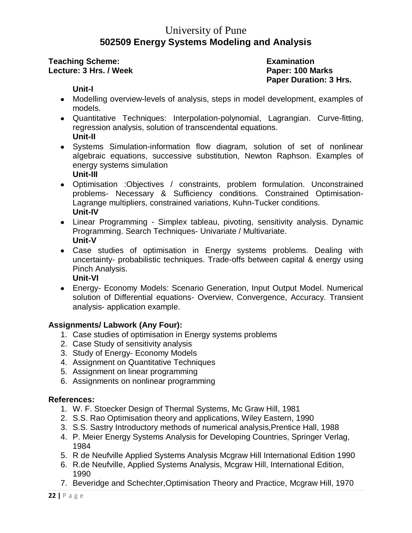# University of Pune **502509 Energy Systems Modeling and Analysis**

**Teaching Scheme: Examination Lecture: 3 Hrs. / Week Paper: 100 Marks**

**Paper Duration: 3 Hrs.**

#### **Unit-I**

- Modelling overview-levels of analysis, steps in model development, examples of models.
- Quantitative Techniques: Interpolation-polynomial, Lagrangian. Curve-fitting, regression analysis, solution of transcendental equations. **Unit-II**
- Systems Simulation-information flow diagram, solution of set of nonlinear algebraic equations, successive substitution, Newton Raphson. Examples of energy systems simulation **Unit-III**
- Optimisation :Objectives / constraints, problem formulation. Unconstrained problems- Necessary & Sufficiency conditions. Constrained Optimisation-Lagrange multipliers, constrained variations, Kuhn-Tucker conditions. **Unit-IV**
- Linear Programming Simplex tableau, pivoting, sensitivity analysis. Dynamic Programming. Search Techniques- Univariate / Multivariate. **Unit-V**
- Case studies of optimisation in Energy systems problems. Dealing with uncertainty- probabilistic techniques. Trade-offs between capital & energy using Pinch Analysis.

**Unit-VI**

Energy- Economy Models: Scenario Generation, Input Output Model. Numerical solution of Differential equations- Overview, Convergence, Accuracy. Transient analysis- application example.

#### **Assignments/ Labwork (Any Four):**

- 1. Case studies of optimisation in Energy systems problems
- 2. Case Study of sensitivity analysis
- 3. Study of Energy- Economy Models
- 4. Assignment on Quantitative Techniques
- 5. Assignment on linear programming
- 6. Assignments on nonlinear programming

- 1. W. F. Stoecker Design of Thermal Systems, Mc Graw Hill, 1981
- 2. S.S. Rao Optimisation theory and applications, Wiley Eastern, 1990
- 3. S.S. Sastry Introductory methods of numerical analysis,Prentice Hall, 1988
- 4. P. Meier Energy Systems Analysis for Developing Countries, Springer Verlag, 1984
- 5. R de Neufville Applied Systems Analysis Mcgraw Hill International Edition 1990
- 6. R.de Neufville, Applied Systems Analysis, Mcgraw Hill, International Edition, 1990
- 7. Beveridge and Schechter,Optimisation Theory and Practice, Mcgraw Hill, 1970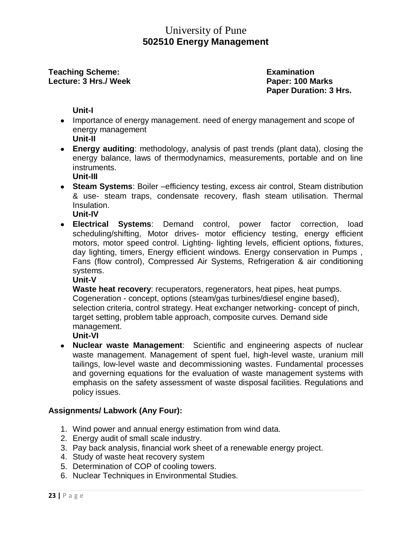### University of Pune **502510 Energy Management**

#### **Teaching Scheme: Examination Lecture: 3 Hrs./ Week Paper: 100 Marks**

**Paper Duration: 3 Hrs.**

#### **Unit-I**

- Importance of energy management. need of energy management and scope of energy management
	- **Unit-II**
- **Energy auditing**: methodology, analysis of past trends (plant data), closing the energy balance, laws of thermodynamics, measurements, portable and on line instruments.
	- **Unit-III**
- **Steam Systems**: Boiler –efficiency testing, excess air control, Steam distribution & use- steam traps, condensate recovery, flash steam utilisation. Thermal Insulation.

**Unit-IV**

**Electrical Systems**: Demand control, power factor correction, load scheduling/shifting, Motor drives- motor efficiency testing, energy efficient motors, motor speed control. Lighting- lighting levels, efficient options, fixtures, day lighting, timers, Energy efficient windows. Energy conservation in Pumps , Fans (flow control), Compressed Air Systems, Refrigeration & air conditioning systems.

**Unit-V**

**Waste heat recovery**: recuperators, regenerators, heat pipes, heat pumps. Cogeneration - concept, options (steam/gas turbines/diesel engine based), selection criteria, control strategy. Heat exchanger networking- concept of pinch, target setting, problem table approach, composite curves. Demand side management.

**Unit-VI**

**Nuclear waste Management**: Scientific and engineering aspects of nuclear waste management. Management of spent fuel, high-level waste, uranium mill tailings, low-level waste and decommissioning wastes. Fundamental processes and governing equations for the evaluation of waste management systems with emphasis on the safety assessment of waste disposal facilities. Regulations and policy issues.

#### **Assignments/ Labwork (Any Four):**

- 1. Wind power and annual energy estimation from wind data.
- 2. Energy audit of small scale industry.
- 3. Pay back analysis, financial work sheet of a renewable energy project.
- 4. Study of waste heat recovery system
- 5. Determination of COP of cooling towers.
- 6. Nuclear Techniques in Environmental Studies.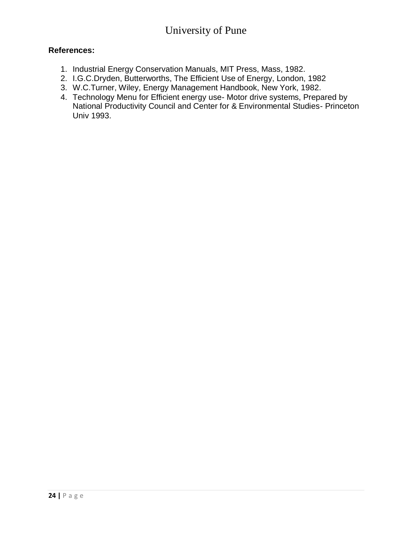- 1. Industrial Energy Conservation Manuals, MIT Press, Mass, 1982.
- 2. I.G.C.Dryden, Butterworths, The Efficient Use of Energy, London, 1982
- 3. W.C.Turner, Wiley, Energy Management Handbook, New York, 1982.
- 4. Technology Menu for Efficient energy use- Motor drive systems, Prepared by National Productivity Council and Center for & Environmental Studies- Princeton Univ 1993.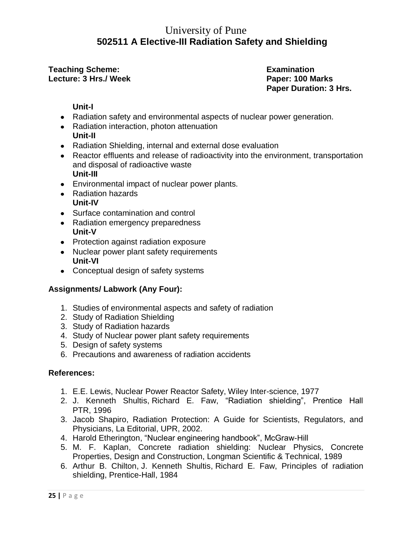### University of Pune **502511 A Elective-III Radiation Safety and Shielding**

**Teaching Scheme:** The Contract Examination **Lecture: 3 Hrs./ Week Paper: 100 Marks**

**Paper Duration: 3 Hrs.**

#### **Unit-I**

- Radiation safety and environmental aspects of nuclear power generation.
- Radiation interaction, photon attenuation **Unit-II**
- Radiation Shielding, internal and external dose evaluation
- Reactor effluents and release of radioactivity into the environment, transportation and disposal of radioactive waste **Unit-III**
- Environmental impact of nuclear power plants.
- Radiation hazards **Unit-IV**
- Surface contamination and control
- Radiation emergency preparedness **Unit-V**
- Protection against radiation exposure
- Nuclear power plant safety requirements **Unit-VI**
- Conceptual design of safety systems

#### **Assignments/ Labwork (Any Four):**

- 1. Studies of environmental aspects and safety of radiation
- 2. Study of Radiation Shielding
- 3. Study of Radiation hazards
- 4. Study of Nuclear power plant safety requirements
- 5. Design of safety systems
- 6. Precautions and awareness of radiation accidents

- 1. E.E. Lewis, Nuclear Power Reactor Safety, Wiley Inter-science, 1977
- 2. [J. Kenneth Shultis,](http://www.google.co.in/search?tbo=p&tbm=bks&q=inauthor:%22J.+Kenneth+Shultis%22) [Richard E. Faw,](http://www.google.co.in/search?tbo=p&tbm=bks&q=inauthor:%22Richard+E.+Faw%22) "Radiation shielding", Prentice Hall PTR, 1996
- 3. Jacob Shapiro, Radiation Protection: A Guide for Scientists, Regulators, and Physicians, La Editorial, UPR, 2002.
- 4. [Harold Etherington,](http://www.google.co.in/search?tbo=p&tbm=bks&q=inauthor:%22Harold+Etherington%22) "Nuclear engineering handbook", McGraw-Hill
- 5. [M. F. Kaplan,](http://www.google.co.in/search?tbo=p&tbm=bks&q=inauthor:%22M.+F.+Kaplan%22) Concrete radiation shielding: Nuclear Physics, Concrete Properties, Design and Construction, Longman Scientific & Technical, 1989
- 6. [Arthur B. Chilton,](http://www.google.co.in/search?tbo=p&tbm=bks&q=inauthor:%22Arthur+B.+Chilton%22) [J. Kenneth Shultis,](http://www.google.co.in/search?tbo=p&tbm=bks&q=inauthor:%22J.+Kenneth+Shultis%22) [Richard E. Faw,](http://www.google.co.in/search?tbo=p&tbm=bks&q=inauthor:%22Richard+E.+Faw%22) Principles of radiation shielding, Prentice-Hall, 1984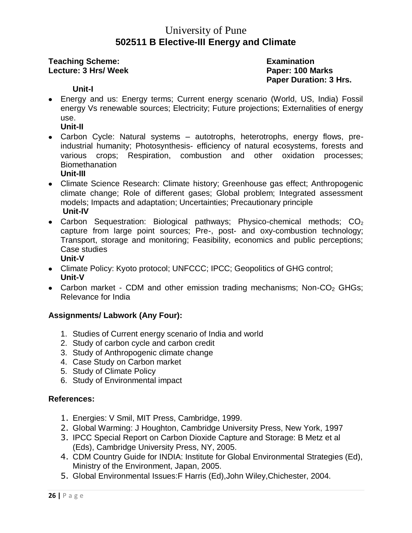### University of Pune **502511 B Elective-III Energy and Climate**

#### **Teaching Scheme: Examination Lecture: 3 Hrs/ Week Paper: 100 Marks**

**Paper Duration: 3 Hrs.**

#### **Unit-I**

Energy and us: Energy terms; Current energy scenario (World, US, India) Fossil energy Vs renewable sources; Electricity; Future projections; Externalities of energy use.

#### **Unit-II**

• Carbon Cycle: Natural systems – autotrophs, heterotrophs, energy flows, preindustrial humanity; Photosynthesis- efficiency of natural ecosystems, forests and various crops; Respiration, combustion and other oxidation processes; **Biomethanation** 

#### **Unit-III**

- Climate Science Research: Climate history; Greenhouse gas effect; Anthropogenic climate change; Role of different gases; Global problem; Integrated assessment models; Impacts and adaptation; Uncertainties; Precautionary principle **Unit-IV**
- Carbon Sequestration: Biological pathways; Physico-chemical methods;  $CO<sub>2</sub>$ capture from large point sources; Pre-, post- and oxy-combustion technology; Transport, storage and monitoring; Feasibility, economics and public perceptions; Case studies **Unit-V**
- Climate Policy: Kyoto protocol; UNFCCC; IPCC; Geopolitics of GHG control; **Unit-V**
- Carbon market CDM and other emission trading mechanisms; Non-CO<sub>2</sub> GHGs; Relevance for India

#### **Assignments/ Labwork (Any Four):**

- 1. Studies of Current energy scenario of India and world
- 2. Study of carbon cycle and carbon credit
- 3. Study of Anthropogenic climate change
- 4. Case Study on Carbon market
- 5. Study of Climate Policy
- 6. Study of Environmental impact

- 1. Energies: V Smil, MIT Press, Cambridge, 1999.
- 2. Global Warming: J Houghton, Cambridge University Press, New York, 1997
- 3. IPCC Special Report on Carbon Dioxide Capture and Storage: B Metz et al (Eds), Cambridge University Press, NY, 2005.
- 4. CDM Country Guide for INDIA: Institute for Global Environmental Strategies (Ed), Ministry of the Environment, Japan, 2005.
- 5. Global Environmental Issues:F Harris (Ed),John Wiley,Chichester, 2004.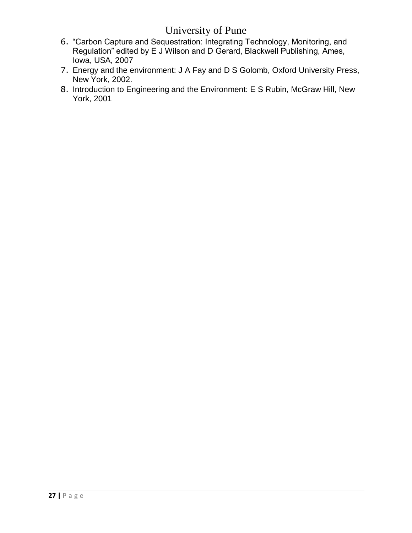- 6. "Carbon Capture and Sequestration: Integrating Technology, Monitoring, and Regulation" edited by E J Wilson and D Gerard, Blackwell Publishing, Ames, Iowa, USA, 2007
- 7. Energy and the environment: J A Fay and D S Golomb, Oxford University Press, New York, 2002.
- 8. Introduction to Engineering and the Environment: E S Rubin, McGraw Hill, New York, 2001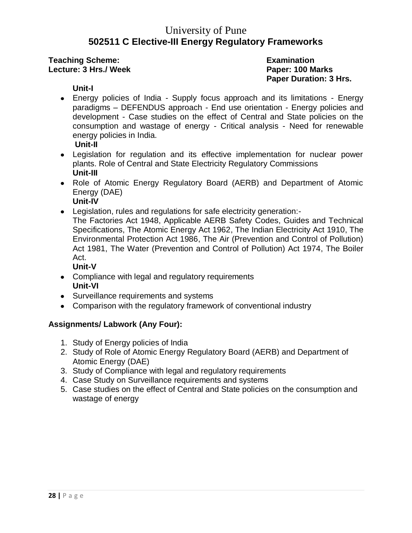### University of Pune **502511 C Elective-III Energy Regulatory Frameworks**

**Teaching Scheme: Examination Lecture: 3 Hrs./ Week Paper: 100 Marks**

**Paper Duration: 3 Hrs.**

#### **Unit-I**

- Energy policies of India Supply focus approach and its limitations Energy paradigms – DEFENDUS approach - End use orientation - Energy policies and development - Case studies on the effect of Central and State policies on the consumption and wastage of energy - Critical analysis - Need for renewable energy policies in India. **Unit-II**
- Legislation for regulation and its effective implementation for nuclear power plants. Role of Central and State Electricity Regulatory Commissions **Unit-III**
- Role of Atomic Energy Regulatory Board (AERB) and Department of Atomic Energy (DAE)
	- **Unit-IV**
- Legislation, rules and regulations for safe electricity generation:-
- The Factories Act 1948, Applicable AERB Safety Codes, Guides and Technical Specifications, The Atomic Energy Act 1962, The Indian Electricity Act 1910, The Environmental Protection Act 1986, The Air (Prevention and Control of Pollution) Act 1981, The Water (Prevention and Control of Pollution) Act 1974, The Boiler Act.

#### **Unit-V**

- Compliance with legal and regulatory requirements **Unit-VI**
- Surveillance requirements and systems
- Comparison with the regulatory framework of conventional industry

#### **Assignments/ Labwork (Any Four):**

- 1. Study of Energy policies of India
- 2. Study of Role of Atomic Energy Regulatory Board (AERB) and Department of Atomic Energy (DAE)
- 3. Study of Compliance with legal and regulatory requirements
- 4. Case Study on Surveillance requirements and systems
- 5. Case studies on the effect of Central and State policies on the consumption and wastage of energy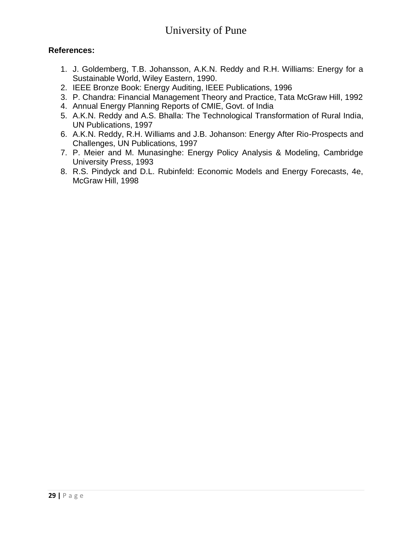- 1. J. Goldemberg, T.B. Johansson, A.K.N. Reddy and R.H. Williams: Energy for a Sustainable World, Wiley Eastern, 1990.
- 2. IEEE Bronze Book: Energy Auditing, IEEE Publications, 1996
- 3. P. Chandra: Financial Management Theory and Practice, Tata McGraw Hill, 1992
- 4. Annual Energy Planning Reports of CMIE, Govt. of India
- 5. A.K.N. Reddy and A.S. Bhalla: The Technological Transformation of Rural India, UN Publications, 1997
- 6. A.K.N. Reddy, R.H. Williams and J.B. Johanson: Energy After Rio-Prospects and Challenges, UN Publications, 1997
- 7. P. Meier and M. Munasinghe: Energy Policy Analysis & Modeling, Cambridge University Press, 1993
- 8. R.S. Pindyck and D.L. Rubinfeld: Economic Models and Energy Forecasts, 4e, McGraw Hill, 1998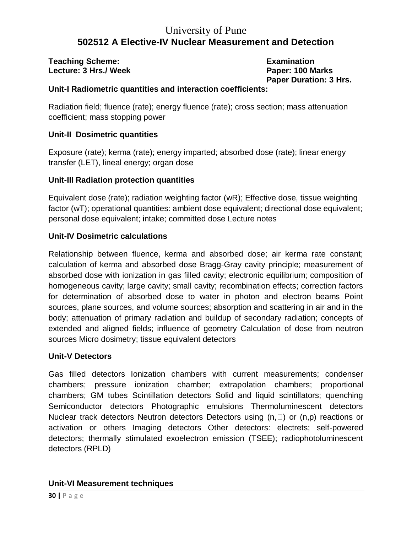# University of Pune **502512 A Elective-IV Nuclear Measurement and Detection**

**Teaching Scheme: Examination Lecture: 3 Hrs./ Week Paper: 100 Marks**

**Paper Duration: 3 Hrs.**

#### **Unit-I Radiometric quantities and interaction coefficients:**

Radiation field; fluence (rate); energy fluence (rate); cross section; mass attenuation coefficient; mass stopping power

#### **Unit-II Dosimetric quantities**

Exposure (rate); kerma (rate); energy imparted; absorbed dose (rate); linear energy transfer (LET), lineal energy; organ dose

#### **Unit-III Radiation protection quantities**

Equivalent dose (rate); radiation weighting factor (wR); Effective dose, tissue weighting factor (wT); operational quantities: ambient dose equivalent; directional dose equivalent; personal dose equivalent; intake; committed dose Lecture notes

#### **Unit-IV Dosimetric calculations**

Relationship between fluence, kerma and absorbed dose; air kerma rate constant; calculation of kerma and absorbed dose Bragg-Gray cavity principle; measurement of absorbed dose with ionization in gas filled cavity; electronic equilibrium; composition of homogeneous cavity; large cavity; small cavity; recombination effects; correction factors for determination of absorbed dose to water in photon and electron beams Point sources, plane sources, and volume sources; absorption and scattering in air and in the body; attenuation of primary radiation and buildup of secondary radiation; concepts of extended and aligned fields; influence of geometry Calculation of dose from neutron sources Micro dosimetry; tissue equivalent detectors

#### **Unit-V Detectors**

Gas filled detectors Ionization chambers with current measurements; condenser chambers; pressure ionization chamber; extrapolation chambers; proportional chambers; GM tubes Scintillation detectors Solid and liquid scintillators; quenching Semiconductor detectors Photographic emulsions Thermoluminescent detectors Nuclear track detectors Neutron detectors Detectors using  $(n, \Box)$  or  $(n,p)$  reactions or activation or others Imaging detectors Other detectors: electrets; self-powered detectors; thermally stimulated exoelectron emission (TSEE); radiophotoluminescent detectors (RPLD)

#### **Unit-VI Measurement techniques**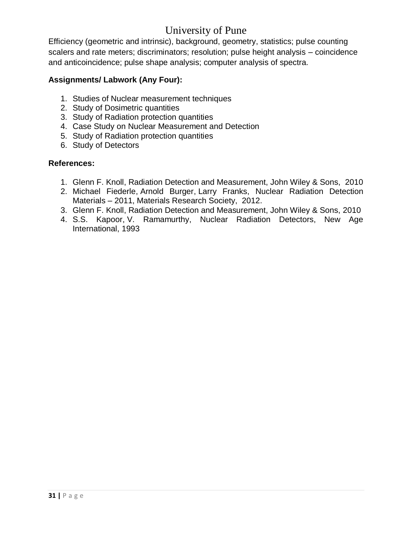Efficiency (geometric and intrinsic), background, geometry, statistics; pulse counting scalers and rate meters; discriminators; resolution; pulse height analysis – coincidence and anticoincidence; pulse shape analysis; computer analysis of spectra.

#### **Assignments/ Labwork (Any Four):**

- 1. Studies of Nuclear measurement techniques
- 2. Study of Dosimetric quantities
- 3. Study of Radiation protection quantities
- 4. Case Study on Nuclear Measurement and Detection
- 5. Study of Radiation protection quantities
- 6. Study of Detectors

- 1. Glenn F. Knoll, Radiation Detection and Measurement, John Wiley & Sons, 2010
- 2. [Michael Fiederle,](http://www.google.co.in/search?tbo=p&tbm=bks&q=inauthor:%22Michael+Fiederle%22) [Arnold Burger,](http://www.google.co.in/search?tbo=p&tbm=bks&q=inauthor:%22Arnold+Burger%22) [Larry Franks,](http://www.google.co.in/search?tbo=p&tbm=bks&q=inauthor:%22Larry+Franks%22) Nuclear Radiation Detection Materials – 2011, Materials Research Society, 2012.
- 3. [Glenn F. Knoll,](http://www.google.co.in/search?tbo=p&tbm=bks&q=inauthor:%22Glenn+F.+Knoll%22) Radiation Detection and Measurement, John Wiley & Sons, 2010
- 4. [S.S. Kapoor,](http://www.google.co.in/search?tbo=p&tbm=bks&q=inauthor:%22S.S.+Kapoor%22) [V. Ramamurthy,](http://www.google.co.in/search?tbo=p&tbm=bks&q=inauthor:%22V.+Ramamurthy%22) Nuclear Radiation Detectors, New Age International, 1993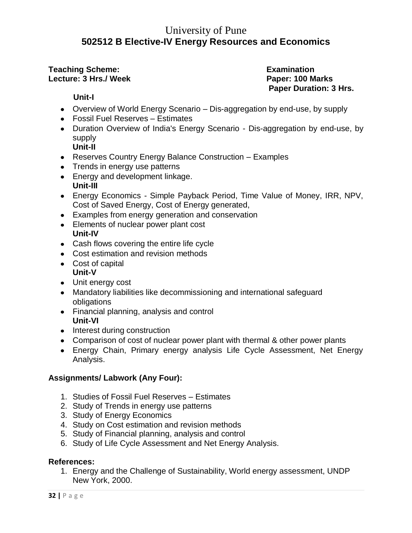# University of Pune **502512 B Elective-IV Energy Resources and Economics**

#### **Teaching Scheme:** The Contract Examination **Lecture: 3 Hrs./ Week Paper: 100 Marks**

**Paper Duration: 3 Hrs.**

#### **Unit-I**

- Overview of World Energy Scenario Dis-aggregation by end-use, by supply
- Fossil Fuel Reserves Estimates
- Duration Overview of India's Energy Scenario Dis-aggregation by end-use, by supply **Unit-II**
- Reserves Country Energy Balance Construction Examples
- Trends in energy use patterns
- Energy and development linkage. **Unit-III**
- Energy Economics Simple Payback Period, Time Value of Money, IRR, NPV, Cost of Saved Energy, Cost of Energy generated,
- Examples from energy generation and conservation
- Elements of nuclear power plant cost **Unit-IV**
- Cash flows covering the entire life cycle
- Cost estimation and revision methods
- Cost of capital **Unit-V**
- Unit energy cost
- Mandatory liabilities like decommissioning and international safeguard obligations
- Financial planning, analysis and control **Unit-VI**
- Interest during construction
- Comparison of cost of nuclear power plant with thermal & other power plants
- Energy Chain, Primary energy analysis Life Cycle Assessment, Net Energy Analysis.

#### **Assignments/ Labwork (Any Four):**

- 1. Studies of Fossil Fuel Reserves Estimates
- 2. Study of Trends in energy use patterns
- 3. Study of Energy Economics
- 4. Study on Cost estimation and revision methods
- 5. Study of Financial planning, analysis and control
- 6. Study of Life Cycle Assessment and Net Energy Analysis.

#### **References:**

1. Energy and the Challenge of Sustainability, World energy assessment, UNDP New York, 2000.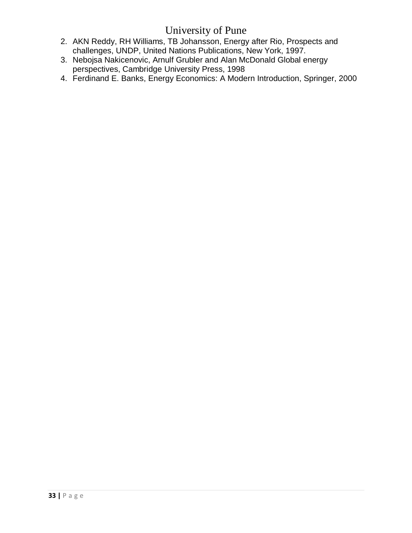- 2. AKN Reddy, RH Williams, TB Johansson, Energy after Rio, Prospects and challenges, UNDP, United Nations Publications, New York, 1997.
- 3. Nebojsa Nakicenovic, Arnulf Grubler and Alan McDonald Global energy perspectives, Cambridge University Press, 1998
- 4. [Ferdinand E. Banks,](http://www.google.co.in/search?tbo=p&tbm=bks&q=inauthor:%22Ferdinand+E.+Banks%22) Energy Economics: A Modern Introduction, Springer, 2000